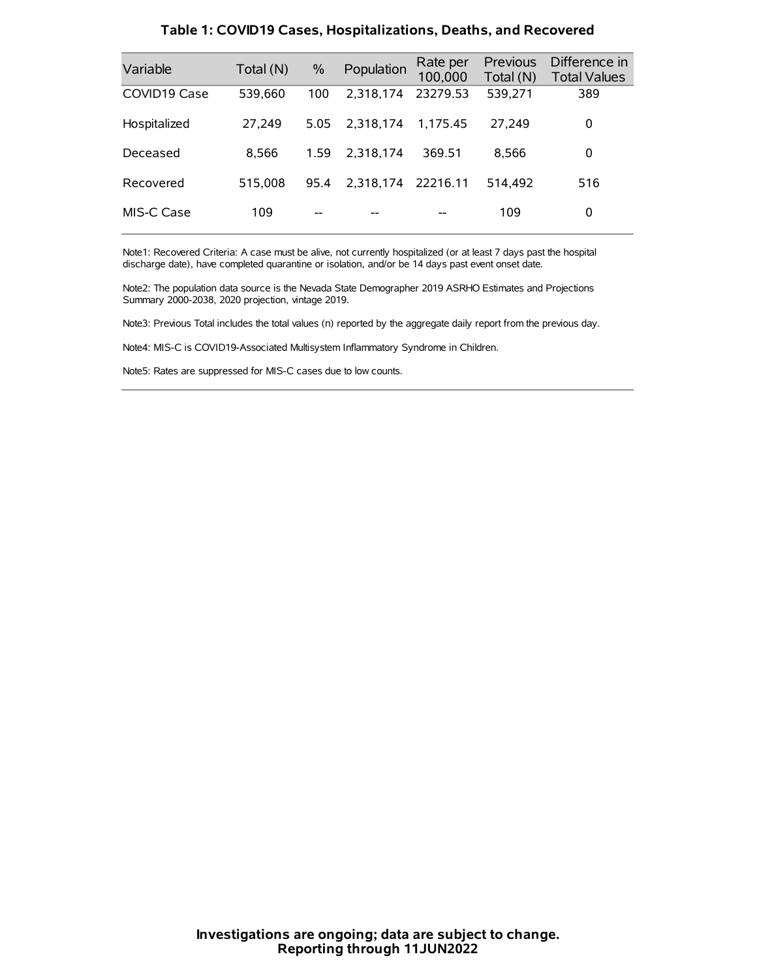| Variable     | Total (N) | $\%$ | Population | Rate per<br>100,000 | Previous<br>Total (N) | Difference in<br><b>Total Values</b> |
|--------------|-----------|------|------------|---------------------|-----------------------|--------------------------------------|
| COVID19 Case | 539,660   | 100  | 2.318.174  | 23279.53            | 539,271               | 389                                  |
| Hospitalized | 27,249    | 5.05 | 2.318.174  | 1.175.45            | 27.249                | 0                                    |
| Deceased     | 8.566     | 1.59 | 2.318.174  | 369.51              | 8.566                 | 0                                    |
| Recovered    | 515.008   | 95.4 | 2,318,174  | 22216.11            | 514.492               | 516                                  |
| MIS-C Case   | 109       | --   |            |                     | 109                   | 0                                    |

#### **Table 1: COVID19 Cases, Hospitalizations, Deaths, and Recovered**

Note1: Recovered Criteria: A case must be alive, not currently hospitalized (or at least 7 days past the hospital discharge date), have completed quarantine or isolation, and/or be 14 days past event onset date.

Note2: The population data source is the Nevada State Demographer 2019 ASRHO Estimates and Projections Summary 2000-2038, 2020 projection, vintage 2019.

Note3: Previous Total includes the total values (n) reported by the aggregate daily report from the previous day.

Note4: MIS-C is COVID19-Associated Multisystem Inflammatory Syndrome in Children.

Note5: Rates are suppressed for MIS-C cases due to low counts.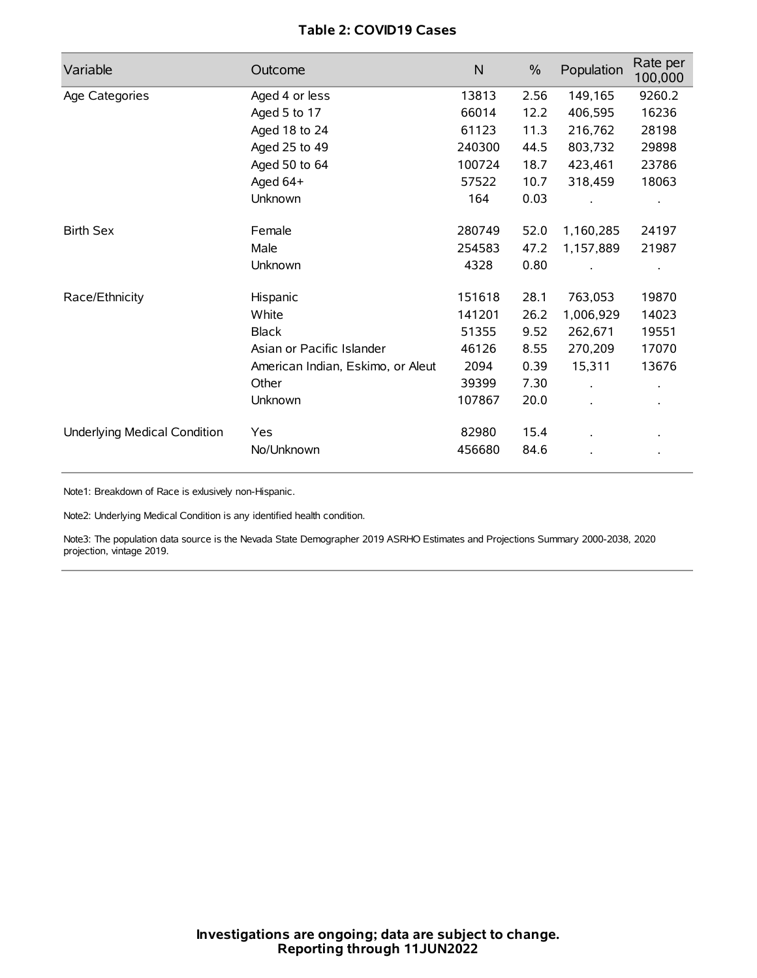# **Table 2: COVID19 Cases**

| Variable                     | Outcome                           | $\mathsf{N}$ | $\%$ | Population | Rate per<br>100,000 |
|------------------------------|-----------------------------------|--------------|------|------------|---------------------|
| Age Categories               | Aged 4 or less                    | 13813        | 2.56 | 149,165    | 9260.2              |
|                              | Aged 5 to 17                      | 66014        | 12.2 | 406,595    | 16236               |
|                              | Aged 18 to 24                     | 61123        | 11.3 | 216,762    | 28198               |
|                              | Aged 25 to 49                     | 240300       | 44.5 | 803,732    | 29898               |
|                              | Aged 50 to 64                     | 100724       | 18.7 | 423,461    | 23786               |
|                              | Aged 64+                          | 57522        | 10.7 | 318,459    | 18063               |
|                              | Unknown                           | 164          | 0.03 |            |                     |
| <b>Birth Sex</b>             | Female                            | 280749       | 52.0 | 1,160,285  | 24197               |
|                              | Male                              | 254583       | 47.2 | 1,157,889  | 21987               |
|                              | Unknown                           | 4328         | 0.80 |            |                     |
| Race/Ethnicity               | Hispanic                          | 151618       | 28.1 | 763,053    | 19870               |
|                              | White                             | 141201       | 26.2 | 1,006,929  | 14023               |
|                              | <b>Black</b>                      | 51355        | 9.52 | 262,671    | 19551               |
|                              | Asian or Pacific Islander         | 46126        | 8.55 | 270,209    | 17070               |
|                              | American Indian, Eskimo, or Aleut | 2094         | 0.39 | 15,311     | 13676               |
|                              | Other                             | 39399        | 7.30 |            |                     |
|                              | <b>Unknown</b>                    | 107867       | 20.0 | $\cdot$    |                     |
| Underlying Medical Condition | Yes                               | 82980        | 15.4 |            |                     |
|                              | No/Unknown                        | 456680       | 84.6 |            |                     |

Note1: Breakdown of Race is exlusively non-Hispanic.

Note2: Underlying Medical Condition is any identified health condition.

Note3: The population data source is the Nevada State Demographer 2019 ASRHO Estimates and Projections Summary 2000-2038, 2020 projection, vintage 2019.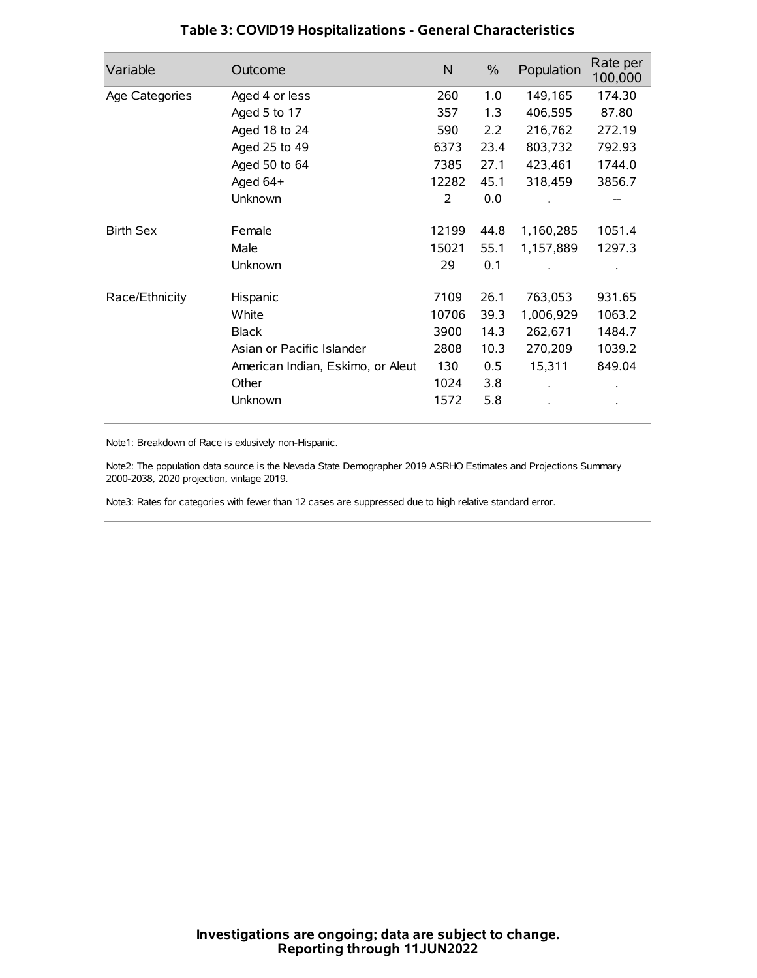| Variable         | Outcome                           | $\mathsf{N}$ | $\%$ | Population | Rate per<br>100,000 |
|------------------|-----------------------------------|--------------|------|------------|---------------------|
| Age Categories   | Aged 4 or less                    | 260          | 1.0  | 149,165    | 174.30              |
|                  | Aged 5 to 17                      | 357          | 1.3  | 406,595    | 87.80               |
|                  | Aged 18 to 24                     | 590          | 2.2  | 216,762    | 272.19              |
|                  | Aged 25 to 49                     | 6373         | 23.4 | 803,732    | 792.93              |
|                  | Aged 50 to 64                     | 7385         | 27.1 | 423,461    | 1744.0              |
|                  | Aged 64+                          | 12282        | 45.1 | 318,459    | 3856.7              |
|                  | Unknown                           | 2            | 0.0  |            |                     |
| <b>Birth Sex</b> | Female                            | 12199        | 44.8 | 1,160,285  | 1051.4              |
|                  | Male                              | 15021        | 55.1 | 1,157,889  | 1297.3              |
|                  | Unknown                           | 29           | 0.1  |            |                     |
| Race/Ethnicity   | Hispanic                          | 7109         | 26.1 | 763,053    | 931.65              |
|                  | White                             | 10706        | 39.3 | 1,006,929  | 1063.2              |
|                  | <b>Black</b>                      | 3900         | 14.3 | 262,671    | 1484.7              |
|                  | Asian or Pacific Islander         | 2808         | 10.3 | 270,209    | 1039.2              |
|                  | American Indian, Eskimo, or Aleut | 130          | 0.5  | 15,311     | 849.04              |
|                  | Other                             | 1024         | 3.8  |            |                     |
|                  | Unknown                           | 1572         | 5.8  |            |                     |

# **Table 3: COVID19 Hospitalizations - General Characteristics**

Note1: Breakdown of Race is exlusively non-Hispanic.

Note2: The population data source is the Nevada State Demographer 2019 ASRHO Estimates and Projections Summary 2000-2038, 2020 projection, vintage 2019.

Note3: Rates for categories with fewer than 12 cases are suppressed due to high relative standard error.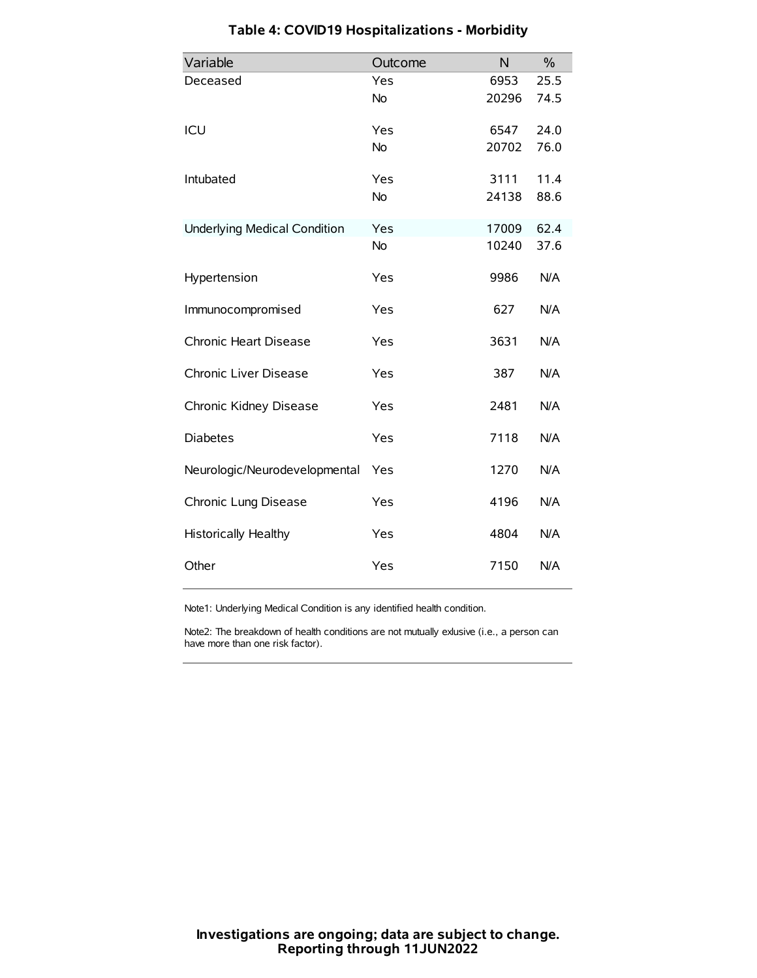| Variable                            | Outcome   | N     | $\%$ |
|-------------------------------------|-----------|-------|------|
| Deceased                            | Yes       | 6953  | 25.5 |
|                                     | No        | 20296 | 74.5 |
| ICU                                 | Yes       | 6547  | 24.0 |
|                                     | <b>No</b> | 20702 | 76.0 |
| Intubated                           | Yes       | 3111  | 11.4 |
|                                     | No        | 24138 | 88.6 |
| <b>Underlying Medical Condition</b> | Yes       | 17009 | 62.4 |
|                                     | No        | 10240 | 37.6 |
| Hypertension                        | Yes       | 9986  | N/A  |
| Immunocompromised                   | Yes       | 627   | N/A  |
| Chronic Heart Disease               | Yes       | 3631  | N/A  |
| Chronic Liver Disease               | Yes       | 387   | N/A  |
| Chronic Kidney Disease              | Yes       | 2481  | N/A  |
| <b>Diabetes</b>                     | Yes       | 7118  | N/A  |
| Neurologic/Neurodevelopmental       | Yes       | 1270  | N/A  |
| Chronic Lung Disease                | Yes       | 4196  | N/A  |
| <b>Historically Healthy</b>         | Yes       | 4804  | N/A  |
| Other                               | Yes       | 7150  | N/A  |

# **Table 4: COVID19 Hospitalizations - Morbidity**

Note1: Underlying Medical Condition is any identified health condition.

Note2: The breakdown of health conditions are not mutually exlusive (i.e., a person can have more than one risk factor).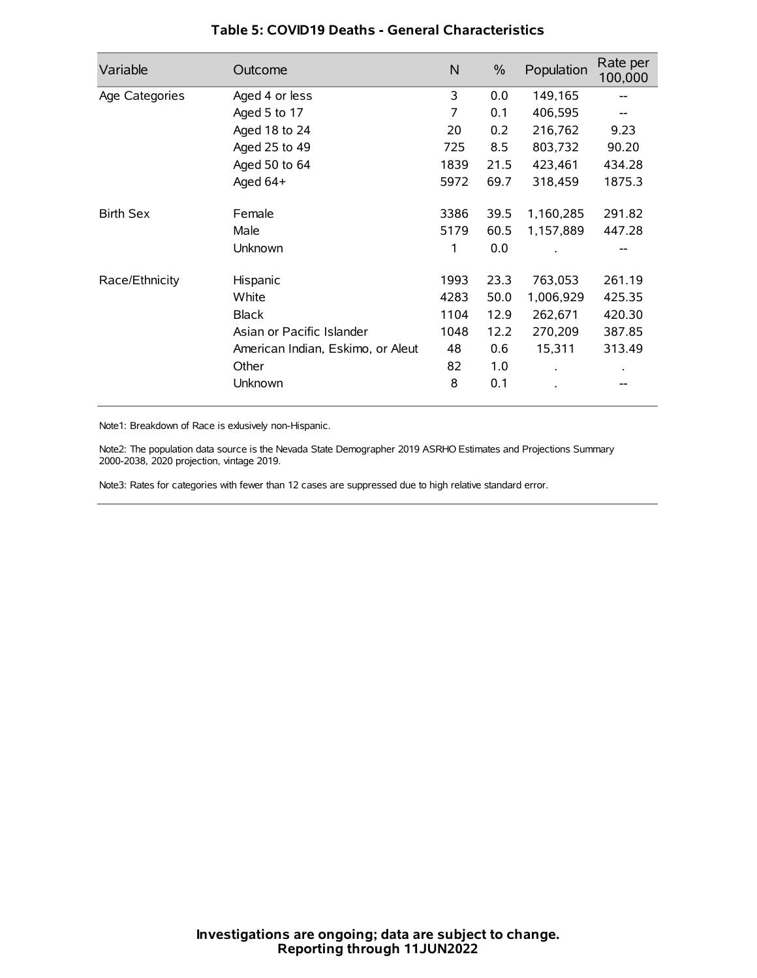| Variable         | Outcome                           | N    | $\%$ | Population | Rate per<br>100,000 |
|------------------|-----------------------------------|------|------|------------|---------------------|
| Age Categories   | Aged 4 or less                    | 3    | 0.0  | 149,165    |                     |
|                  | Aged 5 to 17                      | 7    | 0.1  | 406,595    |                     |
|                  | Aged 18 to 24                     | 20   | 0.2  | 216,762    | 9.23                |
|                  | Aged 25 to 49                     | 725  | 8.5  | 803,732    | 90.20               |
|                  | Aged 50 to 64                     | 1839 | 21.5 | 423,461    | 434.28              |
|                  | Aged 64+                          | 5972 | 69.7 | 318,459    | 1875.3              |
| <b>Birth Sex</b> | Female                            | 3386 | 39.5 | 1,160,285  | 291.82              |
|                  | Male                              | 5179 | 60.5 | 1,157,889  | 447.28              |
|                  | Unknown                           | 1    | 0.0  |            |                     |
| Race/Ethnicity   | Hispanic                          | 1993 | 23.3 | 763,053    | 261.19              |
|                  | White                             | 4283 | 50.0 | 1,006,929  | 425.35              |
|                  | <b>Black</b>                      | 1104 | 12.9 | 262,671    | 420.30              |
|                  | Asian or Pacific Islander         | 1048 | 12.2 | 270,209    | 387.85              |
|                  | American Indian, Eskimo, or Aleut | 48   | 0.6  | 15,311     | 313.49              |
|                  | Other                             | 82   | 1.0  |            |                     |
|                  | Unknown                           | 8    | 0.1  |            |                     |

### **Table 5: COVID19 Deaths - General Characteristics**

Note1: Breakdown of Race is exlusively non-Hispanic.

Note2: The population data source is the Nevada State Demographer 2019 ASRHO Estimates and Projections Summary 2000-2038, 2020 projection, vintage 2019.

Note3: Rates for categories with fewer than 12 cases are suppressed due to high relative standard error.